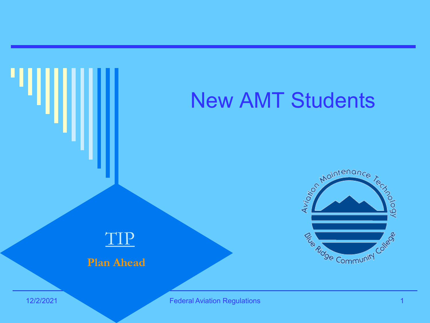### New AMT Students





#### **Plan Ahead**

12/2/2021 Federal Aviation Regulations 1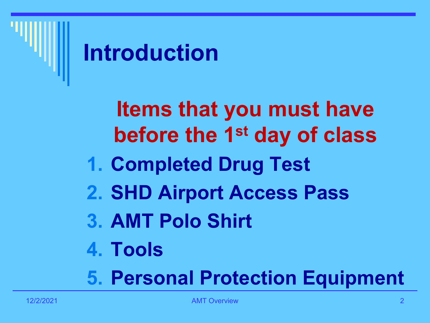

**Items that you must have before the 1st day of class 1. Completed Drug Test 2. SHD Airport Access Pass 3. AMT Polo Shirt 4. Tools**

**5. Personal Protection Equipment**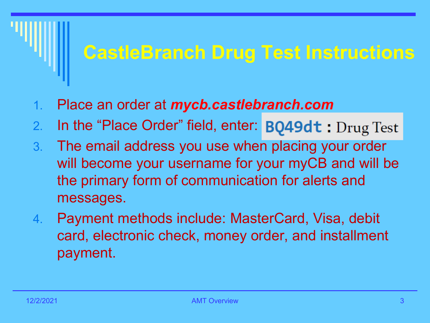#### **CastleBranch Drug Test Instructions**

- 1. Place an order at *mycb.castlebranch.com*
- 2. In the "Place Order" field, enter: BQ49dt : Drug Test
- 3. The email address you use when placing your order will become your username for your myCB and will be the primary form of communication for alerts and messages.
- 4. Payment methods include: MasterCard, Visa, debit card, electronic check, money order, and installment payment.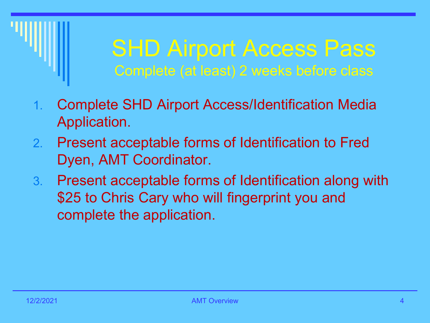### SHD Airport Access Pass Complete (at least) 2 weeks before class

- 1. Complete SHD Airport Access/Identification Media Application.
- 2. Present acceptable forms of Identification to Fred Dyen, AMT Coordinator.
- 3. Present acceptable forms of Identification along with \$25 to Chris Cary who will fingerprint you and complete the application.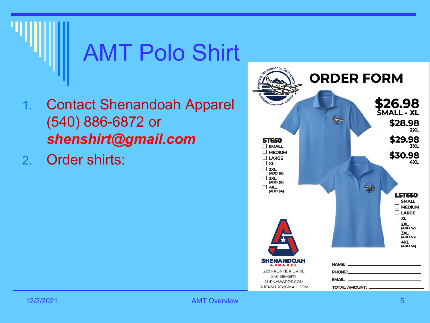

- 1. Contact Shenandoah Apparel (540) 886-6872 or *shenshirt@gmail.com*
- 2. Order shirts:

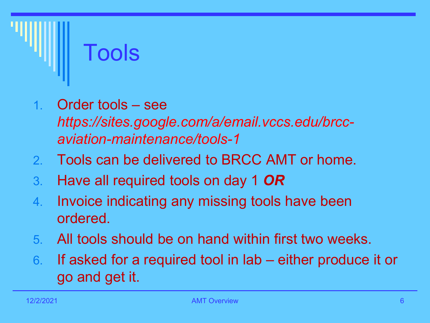

- 1. Order tools see *https://sites.google.com/a/email.vccs.edu/brccaviation-maintenance/tools-1*
- 2. Tools can be delivered to BRCC AMT or home.
- 3. Have all required tools on day 1 *OR*
- 4. Invoice indicating any missing tools have been ordered.
- 5. All tools should be on hand within first two weeks.
- 6. If asked for a required tool in lab either produce it or go and get it.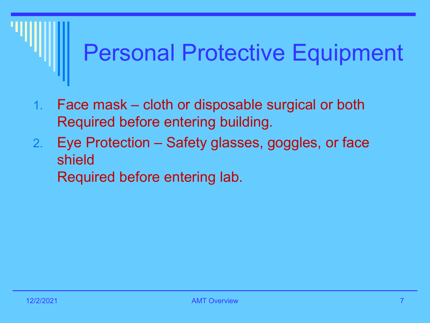# Personal Protective Equipment

- 1. Face mask cloth or disposable surgical or both Required before entering building.
- 2. Eye Protection Safety glasses, goggles, or face shield Required before entering lab.